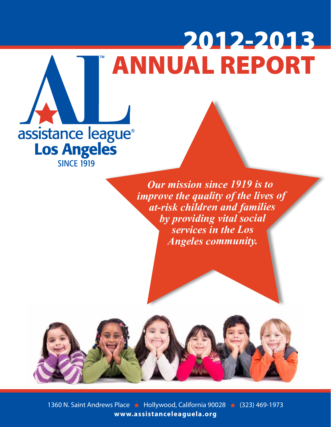# ANNUAL REPORT 2012-2013



*Our mission since 1919 is to improve the quality of the lives of at-risk children and families by providing vital social services in the Los Angeles community.*



1360 N. Saint Andrews Place ★ Hollywood, California 90028 ★ (323) 469-1973 **www.assistanceleaguela.org**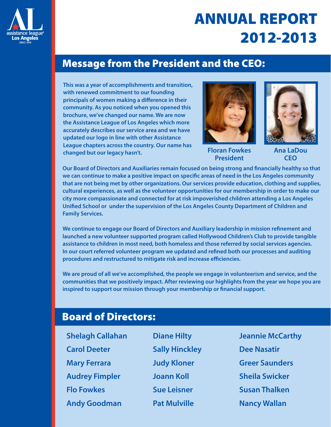

# ANNUAL REPORT 2012-2013

## Message from the President and the CEO:

**This was a year of accomplishments and transition, with renewed commitment to our founding principals of women making a difference in their community. As you noticed when you opened this brochure, we've changed our name. We are now the Assistance League of Los Angeles which more accurately describes our service area and we have updated our logo in line with other Assistance League chapters across the country. Our name has changed but our legacy hasn't.** 



**Floran Fowkes President**



**Ana LaDou CEO**

**Our Board of Directors and Auxiliaries remain focused on being strong and financially healthy so that we can continue to make a positive impact on specific areas of need in the Los Angeles community that are not being met by other organizations. Our services provide education, clothing and supplies, cultural experiences, as well as the volunteer opportunities for our membership in order to make our city more compassionate and connected for at risk impoverished children attending a Los Angeles Unified School or under the supervision of the Los Angeles County Department of Children and Family Services.**

**We continue to engage our Board of Directors and Auxiliary leadership in mission refinement and launched a new volunteer supported program called Hollywood Children's Club to provide tangible assistance to children in most need, both homeless and those referred by social services agencies. In our court referred volunteer program we updated and refined both our processes and auditing procedures and restructured to mitigate risk and increase efficiencies.**

**We are proud of all we've accomplished, the people we engage in volunteerism and service, and the communities that we positively impact. After reviewing our highlights from the year we hope you are inspired to support our mission through your membership or financial support.** 

# Board of Directors:

**Shelagh Callahan Carol Deeter Mary Ferrara Audrey Fimpler Flo Fowkes Andy Goodman**

**Diane Hilty Sally Hinckley Judy Kloner Joann Koll Sue Leisner Pat Mulville** 

**Jeannie McCarthy Dee Nasatir Greer Saunders Sheila Swicker Susan Thalken Nancy Wallan**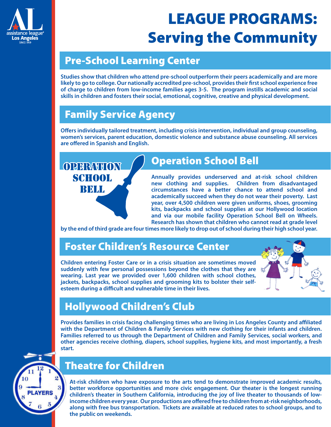

# LEAGUE PROGRAMS: Serving the Community

## Pre-School Learning Center

**Studies show that children who attend pre-school outperform their peers academically and are more likely to go to college. Our nationally accredited pre-school, provides their first school experience free of charge to children from low-income families ages 3-5. The program instills academic and social skills in children and fosters their social, emotional, cognitive, creative and physical development.**

# Family Service Agency

**Offers individually tailored treatment, including crisis intervention, individual and group counseling, women's services, parent education, domestic violence and substance abuse counseling. All services are offered in Spanish and English.**

# **OPERATION SCHOOL BELL**

# Operation School Bell

**Annually provides underserved and at-risk school children new clothing and supplies. Children from disadvantaged circumstances have a better chance to attend school and academically succeed when they do not wear their poverty. Last year, over 4,500 children were given uniforms, shoes, grooming kits, backpacks and school supplies at our Hollywood location and via our mobile facility Operation School Bell on Wheels. Research has shown that children who cannot read at grade level** 

**by the end of third grade are four times more likely to drop out of school during their high school year.**

## Foster Children's Resource Center

**Children entering Foster Care or in a crisis situation are sometimes moved suddenly with few personal possessions beyond the clothes that they are wearing. Last year we provided over 1,600 children with school clothes, jackets, backpacks, school supplies and grooming kits to bolster their selfesteem during a difficult and vulnerable time in their lives.**



## Hollywood Children's Club

**Provides families in crisis facing challenging times who are living in Los Angeles County and affiliated with the Department of Children & Family Services with new clothing for their infants and children. Families referred to us through the Department of Children and Family Services, social workers, and other agencies receive clothing, diapers, school supplies, hygiene kits, and most importantly, a fresh start.**



# Theatre for Children

**At-risk children who have exposure to the arts tend to demonstrate improved academic results, better workforce opportunities and more civic engagement. Our theater is the longest running children's theater in Southern California, introducing the joy of live theater to thousands of lowincome children every year. Our productions are offered free to children from at-risk neighborhoods, along with free bus transportation. Tickets are available at reduced rates to school groups, and to the public on weekends.**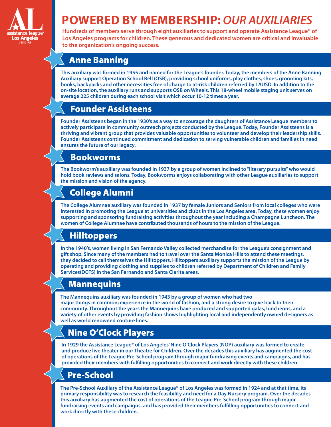

# **POWERED BY MEMBERSHIP:** *OUR AUXILIARIES*

**Hundreds of members serve through eight auxiliaries to support and operate Assistance League® of Los Angeles programs for children. These generous and dedicated women are critical and invaluable to the organization's ongoing success.**

#### Anne Banning

**This auxiliary was formed in 1955 and named for the League's founder. Today, the members of the Anne Banning Auxiliary support Operation School Bell (OSB), providing school uniforms, play clothes, shoes, grooming kits, books, backpacks and other necessities free of charge to at-risk children referred by LAUSD. In addition to the on-site location, the auxiliary runs and supports OSB on Wheels. This 18-wheel mobile staging unit serves on average 225 children during each school visit which occur 10-12 times a year.**

#### Founder Assisteens

**Founder Assisteens began in the 1930's as a way to encourage the daughters of Assistance League members to actively participate in community outreach projects conducted by the League. Today, Founder Assisteens is a thriving and vibrant group that provides valuable opportunities to volunteer and develop their leadership skills. Founder Assisteens continued commitment and dedication to serving vulnerable children and families in need ensures the future of our legacy.**

#### Bookworms

**The Bookworm's auxiliary was founded in 1937 by a group of women inclined to "literary pursuits" who would hold book reviews and salons. Today, Bookworms enjoys collaborating with other League auxiliaries to support the mission and vision of the agency.**

## College Alumni

**The College Alumnae auxiliary was founded in 1937 by female Juniors and Seniors from local colleges who were interested in promoting the League at universities and clubs in the Los Angeles area. Today, these women enjoy supporting and sponsoring fundraising activities throughout the year including a Champagne Luncheon. The women of College Alumnae have contributed thousands of hours to the mission of the League.**

## Hilltoppers

**In the 1940's, women living in San Fernando Valley collected merchandise for the League's consignment and gift shop. Since many of the members had to travel over the Santa Monica Hills to attend these meetings, they decided to call themselves the Hilltoppers. Hilltoppers auxiliary supports the mission of the League by operating and providing clothing and supplies to children referred by Department of Children and Family Services(DCFS) in the San Fernando and Santa Clarita areas.** 

#### **Mannequins**

**The Mannequins auxiliary was founded in 1943 by a group of women who had two major things in common; experience in the world of fashion, and a strong desire to give back to their community. Throughout the years the Mannequins have produced and supported galas, luncheons, and a variety of other events by providing fashion shows highlighting local and independently owned designers as well as world renowned couture lines.** 

## Nine O'Clock Players

**In 1929 the Assistance League® of Los Angeles' Nine O'Clock Players (NOP) auxiliary was formed to create and produce live theater in our Theatre for Children. Over the decades this auxiliary has augmented the cost of operations of the League Pre-School program through major fundraising events and campaigns, and has provided their members with fulfilling opportunities to connect and work directly with these children.**

#### Pre-School

**The Pre-School Auxiliary of the Assistance League® of Los Angeles was formed in 1924 and at that time, its primary responsibility was to research the feasibility and need for a Day Nursery program. Over the decades this auxiliary has augmented the cost of operations of the League Pre-School program through major fundraising events and campaigns, and has provided their members fulfilling opportunities to connect and work directly with these children.**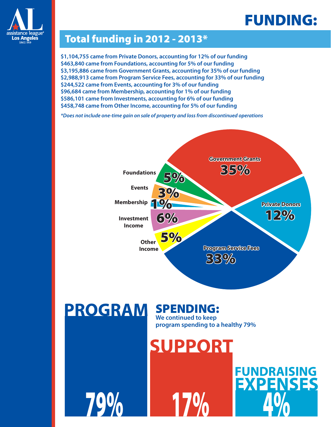# FUNDING:

**FUNDRAISING** 

**EXPENSES** 



## Total funding in 2012 - 2013\*

**\$1,104,755 came from Private Donors, accounting for 12% of our funding \$463,840 came from Foundations, accounting for 5% of our funding \$3,195,886 came from Government Grants, accounting for 35% of our funding \$2,988,913 came from Program Service Fees, accounting for 33% of our funding \$244,522 came from Events, accounting for 3% of our funding \$96,684 came from Membership, accounting for 1% of our funding \$586,101 came from Investments, accounting for 6% of our funding \$458,748 came from Other Income, accounting for 5% of our funding**

*\*Does not include one-time gain on sale of property and loss from discontinued operations*



#### **PROGRAM** SPENDING:

79%

**We continued to keep program spending to a healthy 79%**

**SUPPORT** 

170/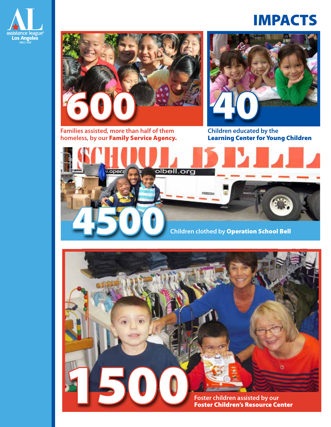

# IMPACTS



**Families assisted, more than half of them homeless, by our** Family Service Agency.



**Children educated by the**  Learning Center for Young Children



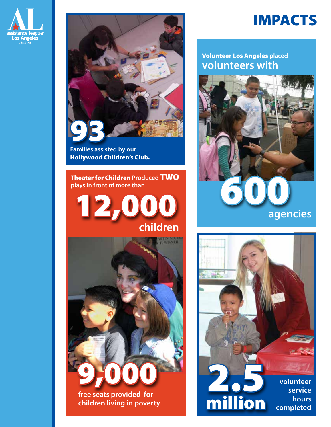



**Families assisted by our**  Hollywood Children's Club.

Theater for Children **Produced** TWO





# IMPACTS

#### **volunteers with** Volunteer Los Angeles **placed**